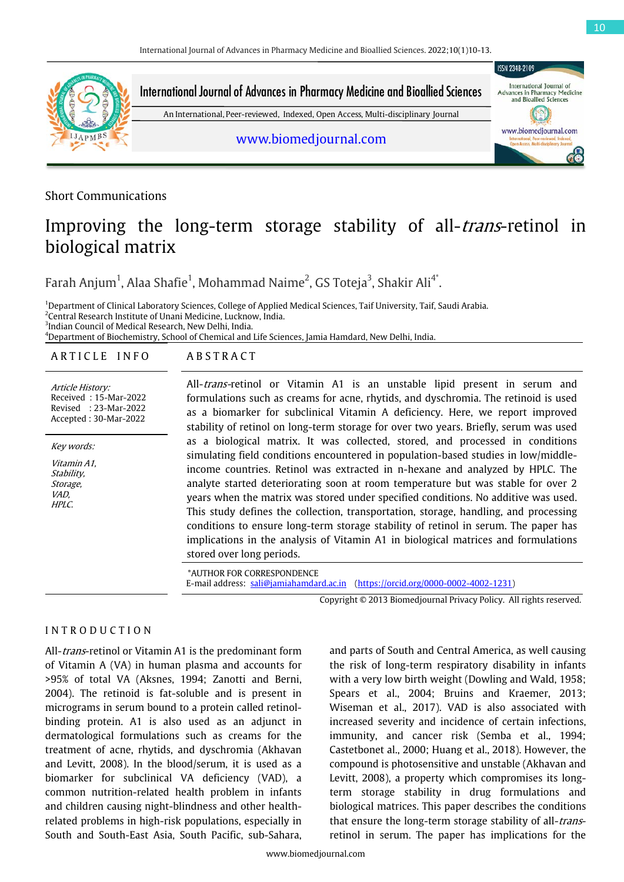

Short Communications

# Improving the long-term storage stability of all-*trans*-retinol in biological matrix

Farah Anjum $^1$ , Alaa Shafie $^1$ , Mohammad Naime $^2$ , GS Toteja $^3$ , Shakir Ali $^{4^\ast}$ .

<sup>1</sup>Department of Clinical Laboratory Sciences, College of Applied Medical Sciences, Taif University, Taif, Saudi Arabia. 2 Central Research Institute of Unani Medicine, Lucknow, India.  $^3$ Indian Council of Medical Research, New Delhi, India. 4 Department of Biochemistry, School of Chemical and Life Sciences, Jamia Hamdard, New Delhi, India.

## ARTICLE INFO ABSTRACT

Article History: Received : 15-Mar-2022 Revised : 23-Mar-2022 Accepted : 30-Mar-2022

Key words: Vitamin A1, Stability, Storage, VAD, HPLC.

All-trans-retinol or Vitamin A1 is an unstable lipid present in serum and formulations such as creams for acne, rhytids, and dyschromia. The retinoid is used as a biomarker for subclinical Vitamin A deficiency. Here, we report improved stability of retinol on long-term storage for over two years. Briefly, serum was used as a biological matrix. It was collected, stored, and processed in conditions simulating field conditions encountered in population-based studies in low/middleincome countries. Retinol was extracted in n-hexane and analyzed by HPLC. The analyte started deteriorating soon at room temperature but was stable for over 2 years when the matrix was stored under specified conditions. No additive was used. This study defines the collection, transportation, storage, handling, and processing conditions to ensure long-term storage stability of retinol in serum. The paper has implications in the analysis of Vitamin A1 in biological matrices and formulations stored over long periods.

\*AUTHOR FOR CORRESPONDENCE E-mail address: [sali@jamiahamdard.ac.in](mailto:sali@jamiahamdard.ac.in) [\(https://orcid.org/0000-0002-4002-1231\)](https://orcid.org/0000-0002-4002-1231)

Copyright © 2013 Biomedjournal Privacy Policy. All rights reserved.

# I N T R O D U C T I O N

All-trans-retinol or Vitamin A1 is the predominant form of Vitamin A (VA) in human plasma and accounts for >95% of total VA (Aksnes, 1994; Zanotti and Berni, 2004). The retinoid is fat-soluble and is present in micrograms in serum bound to a protein called retinolbinding protein. A1 is also used as an adjunct in dermatological formulations such as creams for the treatment of acne, rhytids, and dyschromia (Akhavan and Levitt, 2008). In the blood/serum, it is used as a biomarker for subclinical VA deficiency (VAD), a common nutrition-related health problem in infants and children causing night-blindness and other healthrelated problems in high-risk populations, especially in South and South-East Asia, South Pacific, sub-Sahara,

and parts of South and Central America, as well causing the risk of long-term respiratory disability in infants with a very low birth weight (Dowling and Wald, 1958; Spears et al., 2004; Bruins and Kraemer, 2013; Wiseman et al., 2017). VAD is also associated with increased severity and incidence of certain infections, immunity, and cancer risk (Semba et al., 1994; Castetbonet al., 2000; Huang et al., 2018). However, the compound is photosensitive and unstable (Akhavan and Levitt, 2008), a property which compromises its longterm storage stability in drug formulations and biological matrices. This paper describes the conditions that ensure the long-term storage stability of all-transretinol in serum. The paper has implications for the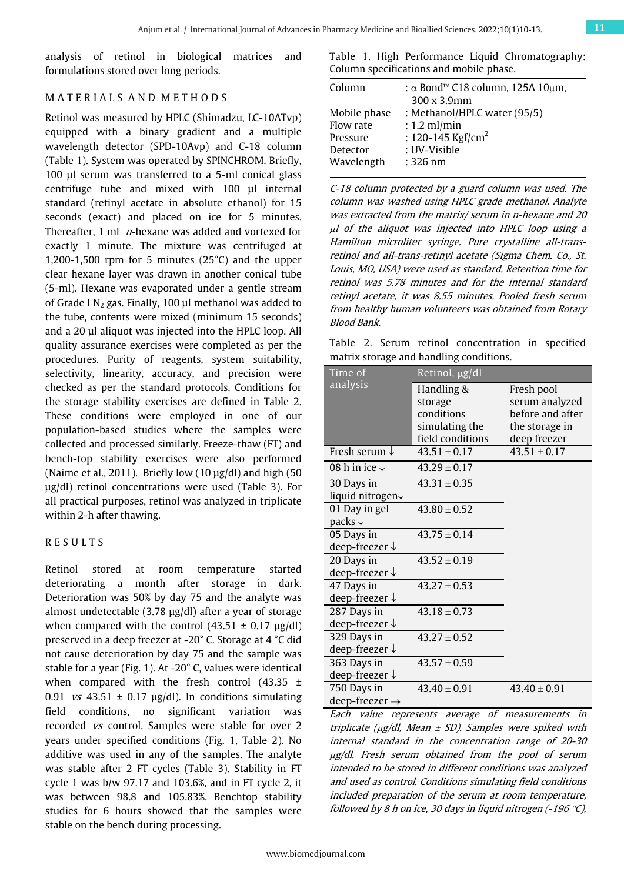analysis of retinol in biological matrices and formulations stored over long periods.

#### M A T E R I A L S A N D M E T H O D S

Retinol was measured by HPLC (Shimadzu, LC-10ATvp) equipped with a binary gradient and a multiple wavelength detector (SPD-10Avp) and C-18 column (Table 1). System was operated by SPINCHROM. Briefly, 100 µl serum was transferred to a 5-ml conical glass centrifuge tube and mixed with 100 µl internal standard (retinyl acetate in absolute ethanol) for 15 seconds (exact) and placed on ice for 5 minutes. Thereafter, 1 ml  $n$ -hexane was added and vortexed for exactly 1 minute. The mixture was centrifuged at 1,200-1,500 rpm for 5 minutes  $(25^{\circ}C)$  and the upper clear hexane layer was drawn in another conical tube (5-ml). Hexane was evaporated under a gentle stream of Grade I  $N_2$  gas. Finally, 100  $\mu$ l methanol was added to the tube, contents were mixed (minimum 15 seconds) and a 20 µl aliquot was injected into the HPLC loop. All quality assurance exercises were completed as per the procedures. Purity of reagents, system suitability, selectivity, linearity, accuracy, and precision were checked as per the standard protocols. Conditions for the storage stability exercises are defined in Table 2. These conditions were employed in one of our population-based studies where the samples were collected and processed similarly. Freeze-thaw (FT) and bench-top stability exercises were also performed (Naime et al., 2011). Briefly low  $(10 \mu g/d)$  and high  $(50 \mu g/d)$ µg/dl) retinol concentrations were used (Table 3). For all practical purposes, retinol was analyzed in triplicate within 2-h after thawing.

#### R E S U L T S

Retinol stored at room temperature started deteriorating a month after storage in dark. Deterioration was 50% by day 75 and the analyte was almost undetectable (3.78 µg/dl) after a year of storage when compared with the control  $(43.51 \pm 0.17 \text{ µg/dl})$ preserved in a deep freezer at -20° C. Storage at 4 °C did not cause deterioration by day 75 and the sample was stable for a year (Fig. 1). At -20° C, values were identical when compared with the fresh control (43.35  $\pm$ 0.91 *vs* 43.51  $\pm$  0.17  $\mu$ g/dl). In conditions simulating field conditions, no significant variation was recorded vs control. Samples were stable for over 2 years under specified conditions (Fig. 1, Table 2). No additive was used in any of the samples. The analyte was stable after 2 FT cycles (Table 3). Stability in FT cycle 1 was b/w 97.17 and 103.6%, and in FT cycle 2, it was between 98.8 and 105.83%. Benchtop stability studies for 6 hours showed that the samples were stable on the bench during processing.

Table 1. High Performance Liquid Chromatography: Column specifications and mobile phase.

| Column       | : $\alpha$ Bond <sup>™</sup> C18 column, 125A 10µm,<br>300 x 3.9mm |
|--------------|--------------------------------------------------------------------|
| Mobile phase | : Methanol/HPLC water (95/5)                                       |
| Flow rate    | $: 1.2$ ml/min                                                     |
| Pressure     | : 120-145 Kgf/cm <sup>2</sup>                                      |
| Detector     | : UV-Visible                                                       |
| Wavelength   | $:326$ nm                                                          |

C-18 column protected by a guard column was used. The column was washed using HPLC grade methanol. Analyte was extracted from the matrix/ serum in n-hexane and 20 <sup>µ</sup>l of the aliquot was injected into HPLC loop using a Hamilton microliter syringe. Pure crystalline all-transretinol and all-trans-retinyl acetate (Sigma Chem. Co., St. Louis, MO, USA) were used as standard. Retention time for retinol was 5.78 minutes and for the internal standard retinyl acetate, it was 8.55 minutes. Pooled fresh serum from healthy human volunteers was obtained from Rotary Blood Bank.

Table 2. Serum retinol concentration in specified matrix storage and handling conditions.

| Time of                      | Retinol, µg/dl   |                  |
|------------------------------|------------------|------------------|
| analysis                     | Handling &       | Fresh pool       |
|                              | storage          | serum analyzed   |
|                              | conditions       | before and after |
|                              | simulating the   | the storage in   |
|                              | field conditions | deep freezer     |
| Fresh serum $\downarrow$     | $43.51 \pm 0.17$ | $43.51 \pm 0.17$ |
| 08 h in ice $\downarrow$     | $43.29 \pm 0.17$ |                  |
| 30 Days in                   | $43.31 \pm 0.35$ |                  |
| liquid nitrogen $\downarrow$ |                  |                  |
| 01 Day in gel                | $43.80 \pm 0.52$ |                  |
| packs $\downarrow$           |                  |                  |
| 05 Days in                   | $43.75 \pm 0.14$ |                  |
| deep-freezer ↓               |                  |                  |
| 20 Days in                   | $43.52 \pm 0.19$ |                  |
| deep-freezer $\downarrow$    |                  |                  |
| 47 Days in                   | $43.27 \pm 0.53$ |                  |
| deep-freezer $\downarrow$    |                  |                  |
| 287 Days in                  | $43.18 \pm 0.73$ |                  |
| deep-freezer $\downarrow$    |                  |                  |
| 329 Days in                  | $43.27 \pm 0.52$ |                  |
| deep-freezer $\downarrow$    |                  |                  |
| 363 Days in                  | $43.57 \pm 0.59$ |                  |
| deep-freezer $\downarrow$    |                  |                  |
| 750 Days in                  | $43.40 \pm 0.91$ | $43.40 \pm 0.91$ |
| deep-freezer $\rightarrow$   |                  |                  |

Each value represents average of measurements in triplicate ( $\mu$ g/dl, Mean  $\pm$  SD). Samples were spiked with internal standard in the concentration range of 20-30 <sup>µ</sup>g/dl. Fresh serum obtained from the pool of serum intended to be stored in different conditions was analyzed and used as control. Conditions simulating field conditions included preparation of the serum at room temperature, followed by 8 h on ice, 30 days in liquid nitrogen  $(-196 \degree C)$ ,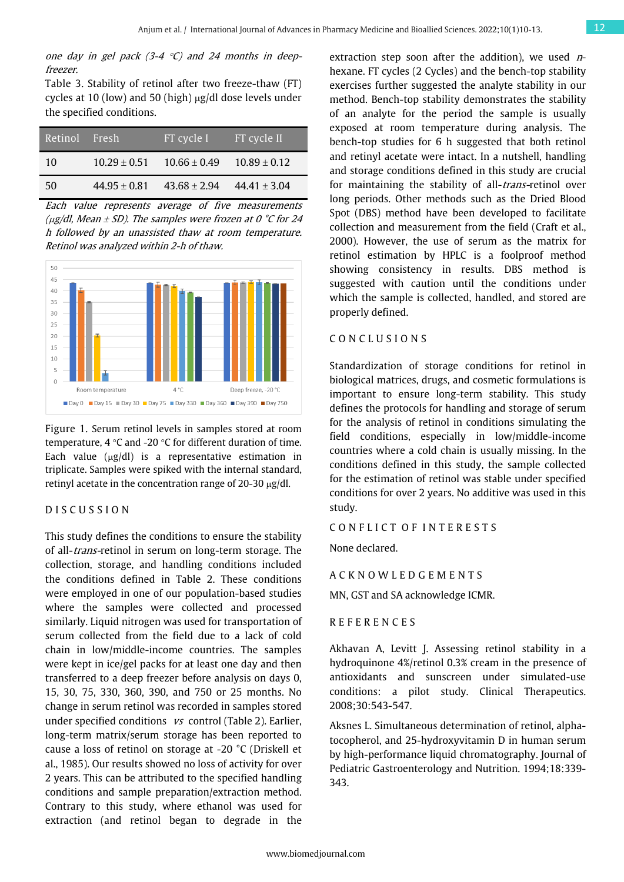one day in gel pack  $(3-4 \degree C)$  and 24 months in deepfreezer.

Table 3. Stability of retinol after two freeze-thaw (FT) cycles at 10 (low) and 50 (high) µg/dl dose levels under the specified conditions.

| Retinol Fresh |                  | FT cycle I       | FT cycle II      |
|---------------|------------------|------------------|------------------|
| 10            | $10.29 + 0.51$   | $10.66 \pm 0.49$ | $10.89 \pm 0.12$ |
| 50            | $44.95 \pm 0.81$ | $43.68 \pm 2.94$ | $44.41 \pm 3.04$ |

Each value represents average of five measurements ( $\mu$ g/dl, Mean  $\pm$  SD). The samples were frozen at 0 °C for 24 h followed by an unassisted thaw at room temperature. Retinol was analyzed within 2-h of thaw.



Figure 1. Serum retinol levels in samples stored at room temperature, 4 °C and -20 °C for different duration of time. Each value  $(\mu g/dl)$  is a representative estimation in triplicate. Samples were spiked with the internal standard, retinyl acetate in the concentration range of 20-30 µg/dl.

## D I S C U S S I O N

This study defines the conditions to ensure the stability of all-trans-retinol in serum on long-term storage. The collection, storage, and handling conditions included the conditions defined in Table 2. These conditions were employed in one of our population-based studies where the samples were collected and processed similarly. Liquid nitrogen was used for transportation of serum collected from the field due to a lack of cold chain in low/middle-income countries. The samples were kept in ice/gel packs for at least one day and then transferred to a deep freezer before analysis on days 0, 15, 30, 75, 330, 360, 390, and 750 or 25 months. No change in serum retinol was recorded in samples stored under specified conditions  $vs$  control (Table 2). Earlier, long-term matrix/serum storage has been reported to cause a loss of retinol on storage at -20 °C (Driskell et al., 1985). Our results showed no loss of activity for over 2 years. This can be attributed to the specified handling conditions and sample preparation/extraction method. Contrary to this study, where ethanol was used for extraction (and retinol began to degrade in the

extraction step soon after the addition), we used  $n$ hexane. FT cycles (2 Cycles) and the bench-top stability exercises further suggested the analyte stability in our method. Bench-top stability demonstrates the stability of an analyte for the period the sample is usually exposed at room temperature during analysis. The bench-top studies for 6 h suggested that both retinol and retinyl acetate were intact. In a nutshell, handling and storage conditions defined in this study are crucial for maintaining the stability of all-*trans*-retinol over long periods. Other methods such as the Dried Blood Spot (DBS) method have been developed to facilitate collection and measurement from the field (Craft et al., 2000). However, the use of serum as the matrix for retinol estimation by HPLC is a foolproof method showing consistency in results. DBS method is suggested with caution until the conditions under which the sample is collected, handled, and stored are properly defined.

## C O N C L U S I O N S

Standardization of storage conditions for retinol in biological matrices, drugs, and cosmetic formulations is important to ensure long-term stability. This study defines the protocols for handling and storage of serum for the analysis of retinol in conditions simulating the field conditions, especially in low/middle-income countries where a cold chain is usually missing. In the conditions defined in this study, the sample collected for the estimation of retinol was stable under specified conditions for over 2 years. No additive was used in this study.

CONFLICT OF INTERESTS

None declared.

A C K N O W L E D G E M E N T S

MN, GST and SA acknowledge ICMR.

R E F E R E N C E S

Akhavan A, Levitt J. Assessing retinol stability in a hydroquinone 4%/retinol 0.3% cream in the presence of antioxidants and sunscreen under simulated-use conditions: a pilot study. Clinical Therapeutics. 2008;30:543-547.

Aksnes L. Simultaneous determination of retinol, alphatocopherol, and 25-hydroxyvitamin D in human serum by high-performance liquid chromatography. Journal of Pediatric Gastroenterology and Nutrition. 1994;18:339- 343.